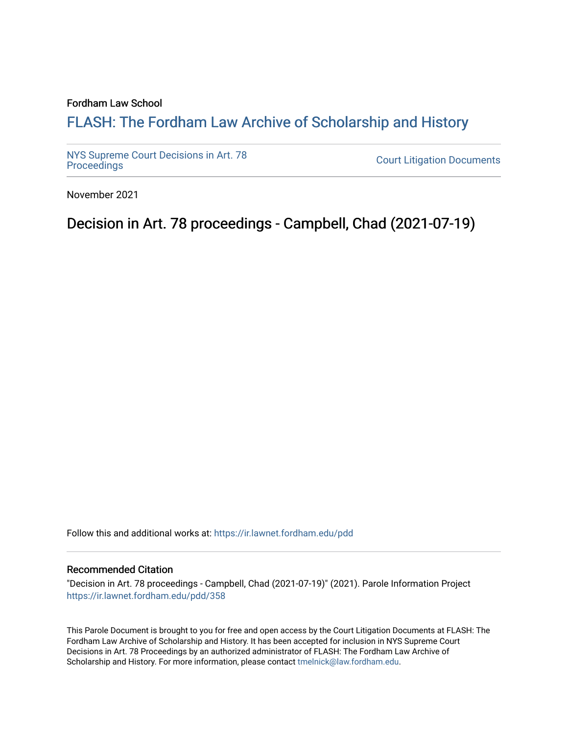## Fordham Law School

## FLASH: The For[dham Law Archive of Scholarship and Hist](https://ir.lawnet.fordham.edu/)ory

[NYS Supreme Court Decisions in Art. 78](https://ir.lawnet.fordham.edu/pdd)

**Court Litigation Documents** 

November 2021

Decision in Art. 78 proceedings - Campbell, Chad (2021-07-19)

Follow this and additional works at: [https://ir.lawnet.fordham.edu/pdd](https://ir.lawnet.fordham.edu/pdd?utm_source=ir.lawnet.fordham.edu%2Fpdd%2F358&utm_medium=PDF&utm_campaign=PDFCoverPages)

## Recommended Citation

"Decision in Art. 78 proceedings - Campbell, Chad (2021-07-19)" (2021). Parole Information Project [https://ir.lawnet.fordham.edu/pdd/358](https://ir.lawnet.fordham.edu/pdd/358?utm_source=ir.lawnet.fordham.edu%2Fpdd%2F358&utm_medium=PDF&utm_campaign=PDFCoverPages)

This Parole Document is brought to you for free and open access by the Court Litigation Documents at FLASH: The Fordham Law Archive of Scholarship and History. It has been accepted for inclusion in NYS Supreme Court Decisions in Art. 78 Proceedings by an authorized administrator of FLASH: The Fordham Law Archive of Scholarship and History. For more information, please contact [tmelnick@law.fordham.edu](mailto:tmelnick@law.fordham.edu).